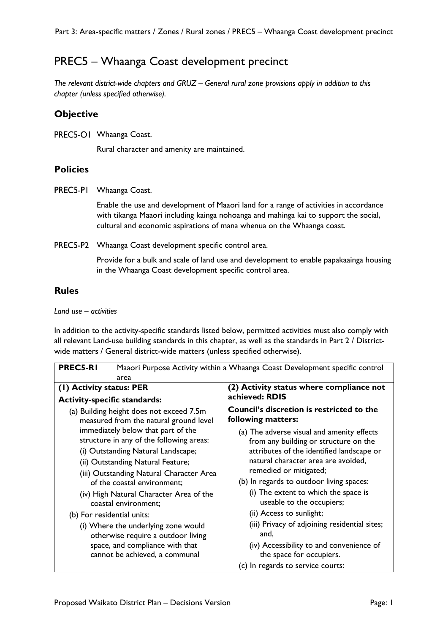# PREC5 – Whaanga Coast development precinct

*The relevant district-wide chapters and GRUZ – General rural zone provisions apply in addition to this chapter (unless specified otherwise).* 

### **Objective**

PREC5-O1 Whaanga Coast.

Rural character and amenity are maintained.

#### **Policies**

PREC5-PI Whaanga Coast.

Enable the use and development of Maaori land for a range of activities in accordance with tikanga Maaori including kainga nohoanga and mahinga kai to support the social, cultural and economic aspirations of mana whenua on the Whaanga coast.

PREC5-P2 Whaanga Coast development specific control area.

Provide for a bulk and scale of land use and development to enable papakaainga housing in the Whaanga Coast development specific control area.

## **Rules**

#### *Land use – activities*

In addition to the activity-specific standards listed below, permitted activities must also comply with all relevant Land-use building standards in this chapter, as well as the standards in Part 2 / Districtwide matters / General district-wide matters (unless specified otherwise).

| <b>PREC5-RI</b>                                                                                                                                                                                                                                                                                         | Maaori Purpose Activity within a Whaanga Coast Development specific control<br>area |                                                                                                                                                                                                                                                                                                                                                |
|---------------------------------------------------------------------------------------------------------------------------------------------------------------------------------------------------------------------------------------------------------------------------------------------------------|-------------------------------------------------------------------------------------|------------------------------------------------------------------------------------------------------------------------------------------------------------------------------------------------------------------------------------------------------------------------------------------------------------------------------------------------|
|                                                                                                                                                                                                                                                                                                         |                                                                                     |                                                                                                                                                                                                                                                                                                                                                |
| (1) Activity status: PER                                                                                                                                                                                                                                                                                |                                                                                     | (2) Activity status where compliance not<br>achieved: RDIS                                                                                                                                                                                                                                                                                     |
| <b>Activity-specific standards:</b>                                                                                                                                                                                                                                                                     |                                                                                     |                                                                                                                                                                                                                                                                                                                                                |
| (a) Building height does not exceed 7.5m<br>measured from the natural ground level                                                                                                                                                                                                                      |                                                                                     | <b>Council's discretion is restricted to the</b><br>following matters:                                                                                                                                                                                                                                                                         |
| immediately below that part of the<br>structure in any of the following areas:<br>(i) Outstanding Natural Landscape;<br>(ii) Outstanding Natural Feature;<br>(iii) Outstanding Natural Character Area<br>of the coastal environment:<br>(iv) High Natural Character Area of the<br>coastal environment; |                                                                                     | (a) The adverse visual and amenity effects<br>from any building or structure on the<br>attributes of the identified landscape or<br>natural character area are avoided,<br>remedied or mitigated;<br>(b) In regards to outdoor living spaces:<br>(i) The extent to which the space is<br>useable to the occupiers;<br>(ii) Access to sunlight; |
| (b) For residential units:<br>(i) Where the underlying zone would<br>otherwise require a outdoor living<br>space, and compliance with that<br>cannot be achieved, a communal                                                                                                                            |                                                                                     | (iii) Privacy of adjoining residential sites;<br>and,<br>(iv) Accessibility to and convenience of<br>the space for occupiers.<br>(c) In regards to service courts:                                                                                                                                                                             |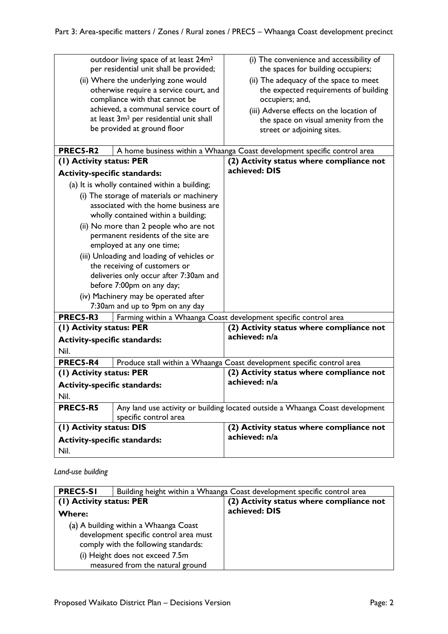| outdoor living space of at least 24m <sup>2</sup><br>per residential unit shall be provided; |                                                     | (i) The convenience and accessibility of<br>the spaces for building occupiers; |
|----------------------------------------------------------------------------------------------|-----------------------------------------------------|--------------------------------------------------------------------------------|
| (ii) Where the underlying zone would                                                         |                                                     | (ii) The adequacy of the space to meet                                         |
|                                                                                              | otherwise require a service court, and              | the expected requirements of building                                          |
|                                                                                              | compliance with that cannot be                      | occupiers; and,                                                                |
|                                                                                              | achieved, a communal service court of               | (iii) Adverse effects on the location of                                       |
|                                                                                              | at least 3m <sup>2</sup> per residential unit shall | the space on visual amenity from the                                           |
| be provided at ground floor                                                                  |                                                     | street or adjoining sites.                                                     |
|                                                                                              |                                                     |                                                                                |
| PREC5-R2                                                                                     |                                                     | A home business within a Whaanga Coast development specific control area       |
| (1) Activity status: PER                                                                     |                                                     | (2) Activity status where compliance not                                       |
| <b>Activity-specific standards:</b>                                                          |                                                     | achieved: DIS                                                                  |
| (a) It is wholly contained within a building;                                                |                                                     |                                                                                |
|                                                                                              | (i) The storage of materials or machinery           |                                                                                |
|                                                                                              | associated with the home business are               |                                                                                |
|                                                                                              | wholly contained within a building;                 |                                                                                |
|                                                                                              | (ii) No more than 2 people who are not              |                                                                                |
|                                                                                              | permanent residents of the site are                 |                                                                                |
|                                                                                              | employed at any one time;                           |                                                                                |
| (iii) Unloading and loading of vehicles or                                                   |                                                     |                                                                                |
| the receiving of customers or                                                                |                                                     |                                                                                |
| deliveries only occur after 7:30am and                                                       |                                                     |                                                                                |
| before 7:00pm on any day;                                                                    |                                                     |                                                                                |
| (iv) Machinery may be operated after                                                         |                                                     |                                                                                |
| 7:30am and up to 9pm on any day                                                              |                                                     |                                                                                |
| PREC5-R3                                                                                     |                                                     | Farming within a Whaanga Coast development specific control area               |
| (I) Activity status: PER                                                                     |                                                     | (2) Activity status where compliance not<br>achieved: n/a                      |
| <b>Activity-specific standards:</b>                                                          |                                                     |                                                                                |
| Nil.                                                                                         |                                                     |                                                                                |
| PREC5-R4                                                                                     |                                                     | Produce stall within a Whaanga Coast development specific control area         |
| (1) Activity status: PER                                                                     |                                                     | (2) Activity status where compliance not                                       |
| <b>Activity-specific standards:</b>                                                          |                                                     | achieved: n/a                                                                  |
| Nil.                                                                                         |                                                     |                                                                                |
| PREC5-R5                                                                                     |                                                     | Any land use activity or building located outside a Whaanga Coast development  |
| specific control area                                                                        |                                                     |                                                                                |
| (1) Activity status: DIS                                                                     |                                                     | (2) Activity status where compliance not                                       |
| <b>Activity-specific standards:</b>                                                          |                                                     | achieved: n/a                                                                  |
| Nil.                                                                                         |                                                     |                                                                                |

*Land-use building*

| <b>PREC5-SI</b>                                                                                                         | Building height within a Whaanga Coast development specific control area |                                          |
|-------------------------------------------------------------------------------------------------------------------------|--------------------------------------------------------------------------|------------------------------------------|
| (1) Activity status: PER                                                                                                |                                                                          | (2) Activity status where compliance not |
| <b>Where:</b>                                                                                                           |                                                                          | achieved: DIS                            |
| (a) A building within a Whaanga Coast<br>development specific control area must<br>comply with the following standards: |                                                                          |                                          |
| (i) Height does not exceed 7.5m<br>measured from the natural ground                                                     |                                                                          |                                          |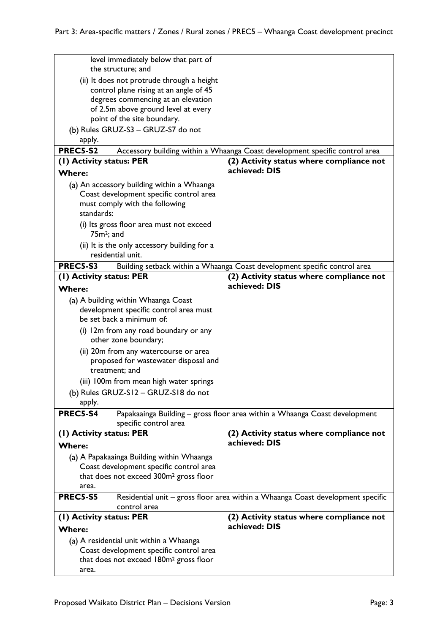|                                                                                              | level immediately below that part of     |                                                                                 |
|----------------------------------------------------------------------------------------------|------------------------------------------|---------------------------------------------------------------------------------|
| the structure; and                                                                           |                                          |                                                                                 |
| (ii) It does not protrude through a height<br>control plane rising at an angle of 45         |                                          |                                                                                 |
| degrees commencing at an elevation                                                           |                                          |                                                                                 |
| of 2.5m above ground level at every                                                          |                                          |                                                                                 |
|                                                                                              | point of the site boundary.              |                                                                                 |
|                                                                                              | (b) Rules GRUZ-S3 - GRUZ-S7 do not       |                                                                                 |
| apply.                                                                                       |                                          |                                                                                 |
| <b>PREC5-S2</b>                                                                              |                                          | Accessory building within a Whaanga Coast development specific control area     |
| (1) Activity status: PER                                                                     |                                          | (2) Activity status where compliance not                                        |
| <b>Where:</b>                                                                                |                                          | achieved: DIS                                                                   |
| (a) An accessory building within a Whaanga                                                   |                                          |                                                                                 |
| Coast development specific control area                                                      |                                          |                                                                                 |
|                                                                                              | must comply with the following           |                                                                                 |
| standards:                                                                                   |                                          |                                                                                 |
|                                                                                              | (i) Its gross floor area must not exceed |                                                                                 |
| $75m^2$ ; and                                                                                |                                          |                                                                                 |
| (ii) It is the only accessory building for a                                                 |                                          |                                                                                 |
|                                                                                              | residential unit.                        |                                                                                 |
| <b>PREC5-S3</b><br>Building setback within a Whaanga Coast development specific control area |                                          |                                                                                 |
| (1) Activity status: PER                                                                     |                                          | (2) Activity status where compliance not<br>achieved: DIS                       |
| <b>Where:</b>                                                                                |                                          |                                                                                 |
|                                                                                              | (a) A building within Whaanga Coast      |                                                                                 |
| development specific control area must                                                       |                                          |                                                                                 |
| be set back a minimum of:                                                                    |                                          |                                                                                 |
| (i) 12m from any road boundary or any                                                        |                                          |                                                                                 |
| other zone boundary;                                                                         |                                          |                                                                                 |
| (ii) 20m from any watercourse or area                                                        |                                          |                                                                                 |
| proposed for wastewater disposal and<br>treatment; and                                       |                                          |                                                                                 |
| (iii) 100m from mean high water springs                                                      |                                          |                                                                                 |
| (b) Rules GRUZ-S12 - GRUZ-S18 do not                                                         |                                          |                                                                                 |
| apply.                                                                                       |                                          |                                                                                 |
| <b>PREC5-S4</b>                                                                              | specific control area                    | Papakaainga Building - gross floor area within a Whaanga Coast development      |
| (1) Activity status: PER                                                                     |                                          | (2) Activity status where compliance not                                        |
| <b>Where:</b>                                                                                |                                          | achieved: DIS                                                                   |
| (a) A Papakaainga Building within Whaanga                                                    |                                          |                                                                                 |
| Coast development specific control area                                                      |                                          |                                                                                 |
| that does not exceed 300m <sup>2</sup> gross floor                                           |                                          |                                                                                 |
| area.                                                                                        |                                          |                                                                                 |
| <b>PREC5-S5</b>                                                                              |                                          | Residential unit - gross floor area within a Whaanga Coast development specific |
|                                                                                              | control area                             |                                                                                 |
| (1) Activity status: PER<br><b>Where:</b>                                                    |                                          | (2) Activity status where compliance not<br>achieved: DIS                       |
| (a) A residential unit within a Whaanga                                                      |                                          |                                                                                 |
| Coast development specific control area                                                      |                                          |                                                                                 |
| that does not exceed 180m <sup>2</sup> gross floor                                           |                                          |                                                                                 |
|                                                                                              |                                          |                                                                                 |